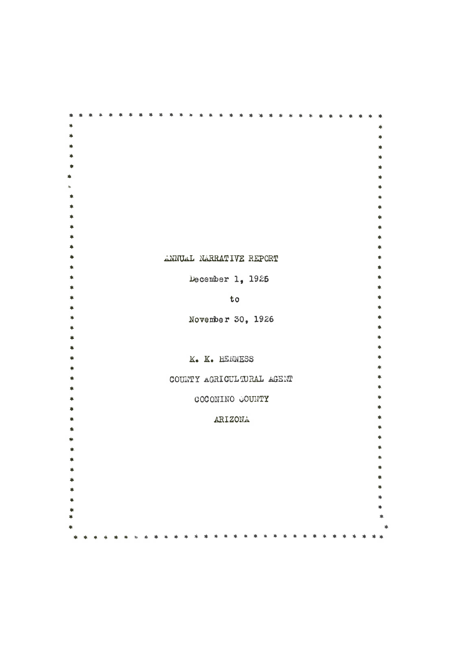|  |  |  |  | ANNUAL NARRATIVE REPORT |  |  |    |                   |  |                           |  |  |  |  |  |
|--|--|--|--|-------------------------|--|--|----|-------------------|--|---------------------------|--|--|--|--|--|
|  |  |  |  |                         |  |  |    |                   |  |                           |  |  |  |  |  |
|  |  |  |  |                         |  |  |    | December 1, 1925  |  |                           |  |  |  |  |  |
|  |  |  |  |                         |  |  | to |                   |  |                           |  |  |  |  |  |
|  |  |  |  |                         |  |  |    |                   |  |                           |  |  |  |  |  |
|  |  |  |  |                         |  |  |    | November 30, 1926 |  |                           |  |  |  |  |  |
|  |  |  |  |                         |  |  |    |                   |  |                           |  |  |  |  |  |
|  |  |  |  |                         |  |  |    |                   |  |                           |  |  |  |  |  |
|  |  |  |  |                         |  |  |    |                   |  |                           |  |  |  |  |  |
|  |  |  |  |                         |  |  |    | K. K. HENNESS     |  |                           |  |  |  |  |  |
|  |  |  |  |                         |  |  |    |                   |  |                           |  |  |  |  |  |
|  |  |  |  |                         |  |  |    |                   |  | COUNTY AGRICULTURAL AGENT |  |  |  |  |  |
|  |  |  |  |                         |  |  |    |                   |  |                           |  |  |  |  |  |
|  |  |  |  |                         |  |  |    | COCONINO GOUNTY   |  |                           |  |  |  |  |  |
|  |  |  |  |                         |  |  |    |                   |  |                           |  |  |  |  |  |
|  |  |  |  |                         |  |  |    | ARIZONA           |  |                           |  |  |  |  |  |
|  |  |  |  |                         |  |  |    |                   |  |                           |  |  |  |  |  |
|  |  |  |  |                         |  |  |    |                   |  |                           |  |  |  |  |  |
|  |  |  |  |                         |  |  |    |                   |  |                           |  |  |  |  |  |
|  |  |  |  |                         |  |  |    |                   |  |                           |  |  |  |  |  |
|  |  |  |  |                         |  |  |    |                   |  |                           |  |  |  |  |  |
|  |  |  |  |                         |  |  |    |                   |  |                           |  |  |  |  |  |
|  |  |  |  |                         |  |  |    |                   |  |                           |  |  |  |  |  |
|  |  |  |  |                         |  |  |    |                   |  |                           |  |  |  |  |  |
|  |  |  |  |                         |  |  |    |                   |  |                           |  |  |  |  |  |
|  |  |  |  |                         |  |  |    |                   |  |                           |  |  |  |  |  |
|  |  |  |  |                         |  |  |    |                   |  |                           |  |  |  |  |  |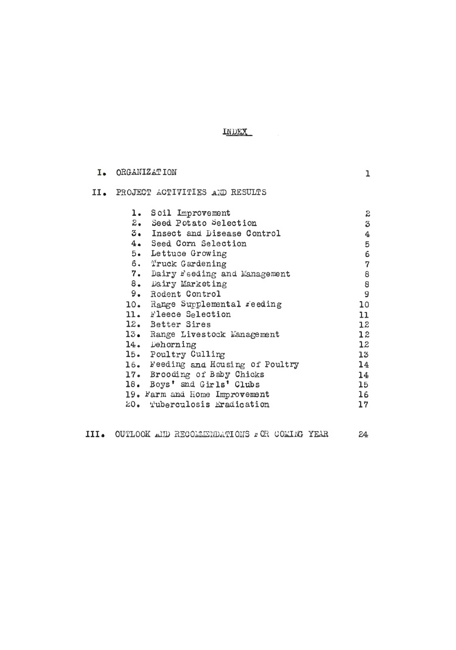INDEX

| I. ORGANIZATION                                                                                                                                                                                                                                                                                                    |                                                                                                                         |  |  |  |  |  |  |
|--------------------------------------------------------------------------------------------------------------------------------------------------------------------------------------------------------------------------------------------------------------------------------------------------------------------|-------------------------------------------------------------------------------------------------------------------------|--|--|--|--|--|--|
| II. PROJECT ACTIVITIES AND RESULTS                                                                                                                                                                                                                                                                                 |                                                                                                                         |  |  |  |  |  |  |
| 1. Soil Improvement<br>2. Seed Potato Selection<br>3. Insect and Disease Control<br>4. Seed Corn Selection<br>5. Lettuce Growing<br>6. Truck Gardening<br>7. Dairy Feeding and Management<br>8. Dairy Marketing<br>9. Rodent Control<br>10. Range Supplemental reeding<br>11. Fleece Selection<br>12. Better Sires | $\boldsymbol{z}$<br>3<br>4<br>5<br>6<br>$\overline{7}$<br>8<br>$\bf 8$<br>9<br>10 <sup>°</sup><br>11<br>12 <sup>°</sup> |  |  |  |  |  |  |
| 13. Range Livestock Management<br>14. Dehorning<br>15. Poultry Culling                                                                                                                                                                                                                                             | 12<br>12<br>13 <sup>°</sup>                                                                                             |  |  |  |  |  |  |
| 16. Feeding and Housing of Poultry<br>17. Brooding of Baby Chicks<br>18. Boys' and Girls' Clubs<br>19. Farm and Home Improvement<br>20. Tuberculosis Eradication                                                                                                                                                   | 14<br>14<br>15<br>16<br>17                                                                                              |  |  |  |  |  |  |

|  | III. OUTLOOK AND RECOMMENDATIONS POR COMING YEAR |  |  |
|--|--------------------------------------------------|--|--|
|  |                                                  |  |  |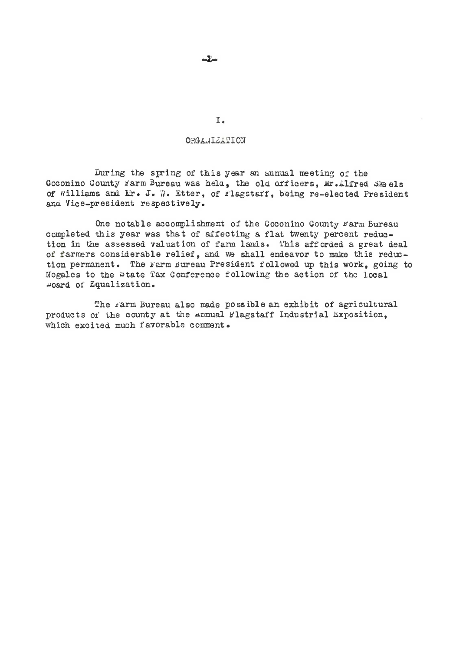# ORGANIZATION

During the spring of this year an annual meeting of the Coconino County Farm Bureau was held. the old officers. Mr. Alfred Skeels of williams and Lr. J. W. Etter, of Flagstaff, being re-elected President and Vice-president respectively.

One notable accomplishment of the Coconino County Farm Bureau completed this year was that of affecting <sup>a</sup> flat twenty percent reduction in the assessed valuation of farm lands. This afforded a great deal of farmers considerable relief, and we shall endeavor to make this reduction permanent. The Farm Bureau President followed up this work, going to Nogales to the �tate Tax Oonference following the action of the local �oard of Equalization.

The farm Bureau also made possible an exhibit of agricultural products or the county at the Annual Flagstaff Industrial Exposition. which excited much favorable comment.

I.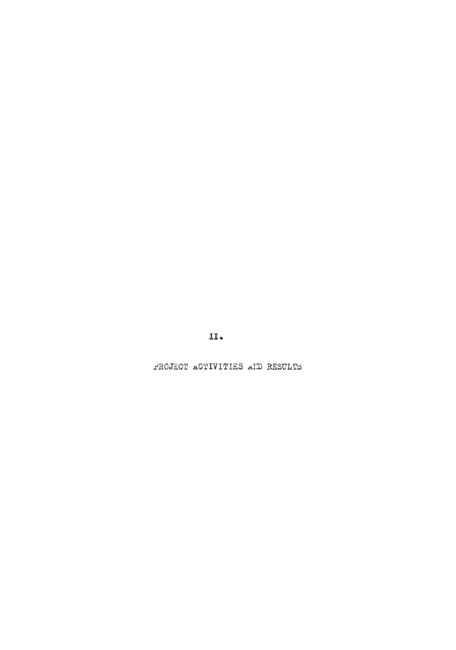11.

PROJECT ACTIVITIES AND RESULTS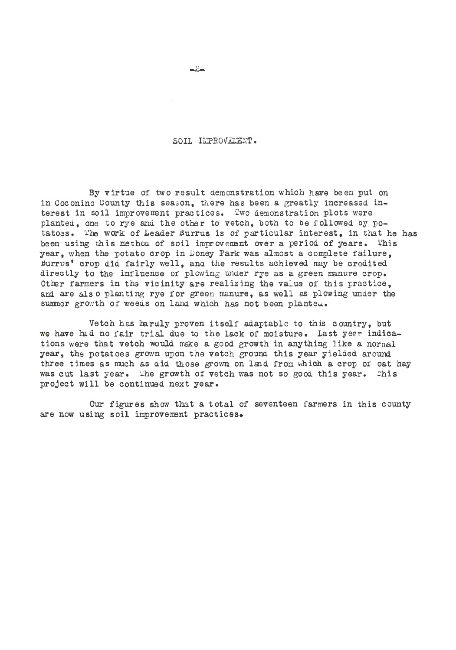### SOIL IMPROVELENT.

By virtue of two result demonstration which have been put on in Goconino County this season, there has been a greatly increased interest in soil improvement practices. Two demonstration plots were planted, one to rye and the other to vetch, both to be followed by potatoes. The work of Leader Burrus is of particular interest, in that he has been using this method of soil improvement over a period of years. This year, when the potato crop in Doney Park was almost a complete failure. �urrvs' crop did fairly well, ana. the results achieved may be credited directly to the influence of plowing under rye as a green manure crop. Other farmers in the vicinity are realizing the value of this practice. and are also planting rye for green manure, as well as plowing under the summer growth of weeds on land which has not been planteu.

Vetch has haruly proven itself adaptable to this country, but we have had no fair trial due to the lack of moisture. Last year indications were that vetch would make a good growth in anything like a normal year, the potatoes grown upon the vetch ground this year yielded around. three times as much as aid those grown on land from which a crop of oat hay was cut last year. The growth of vetch was not so good this year. This project will be continued next year.

Our figures show that a total of seventeen farmers in this county are now using soil improvement practices.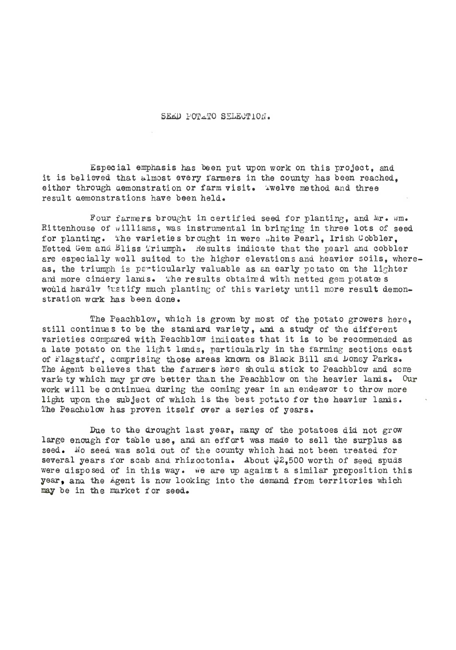# SEED POTATO SELECTION.

Especial emphasis has been put upon work on this project, and it is believed that almost every farmers in the county has been reached. either through aemonstration or farm visit. Welve method and three result aemonstrations have been held.

Four farmers brought in certified seed for planting, and Mr. wm. Rittenhouse of williams, was instrumental in bringing in three lots of seed for planting. The varieties brought in were "hite Pearl, Irish Cobbler, Netted Gem and Bliss Triumph. Results indicate that the pearl and cobbler are especially well suited to the higher elevations and heavier soils, whereas, the triumph is particularly valuable as an early potato on the lighter and more cindery lands. The results obtained with netted gem potatoes would hardly justify much planting of this variety until more result demonstration work has been done.

The Peachblow, which is grown by most of the potato growers here, still continues to be the standard variety, and a study of the different varieties compared with Peachblow indicates that it is to be recommended as a late potato on the light lands, particularly in the farming sections east of Flagstaff, comprising those areas known os Black Bill and Doney Parks. The Agent believes that the farmers here should stick to Peachblow and some varie ty which may pr ove better than the Peachblow on the heavier lands. Our work will be continuea during the coming year in an endeavor to throw more light upon the subject of which is the best pot�to for the heavier lands. The Peachblow has proven itself over a series of years.

Due to the drought last year, many of the potatoes did not grow large enough for table use, and an effort was made to sell the surplus as seed. No seed was sold out of the county which had not been treated for several years for scab and rhizoctonia. About  $2,500$  worth of seed spuds were disposed of in this way. We are up against a similar proposition this year, and the Agent is now looking into the demand from territories which may be in the market for seed.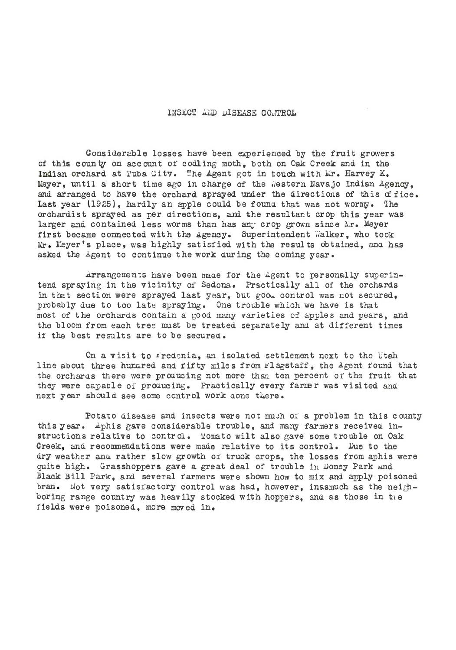## INSECT AND DISEASE CONTROL

Considerable losses have been experienced by the fruit growers of this county on account of codling moth, both on Oak Creek and in the Indian orchard at Tuba City. The Agent got in touch with Mr. Harvey K. Meyer, until a short time ago in charge of the western Navajo Indian Agency, and arranged to have the orchard sprayed under the directions of this of fice. Last year (1925), hardly an apple could be found that was not wormy. The orchardist sprayed as per �irections, and the resultant crop this year was larger and contained less worms than has any crop grown since Mr. Meyer first became connected with the Agency. Superintendent Walker, who took Mr. Meyer's place, was highly satisfied with the results obtained, and has asked the Agent to continue the work during the coming year.

�rrangements have been maue for the Agent to personally superintend spraying in the vicinity of Sedona. Practically all of the orchards in that section were sprayed last year, but good control was not secured, probably due to too late spraying. One trouble which we have is that most of the orchards contain <sup>a</sup> good many varieties of apples and pears, and the bloom from each tree must be treated separately and at different times if the best results are to be secured.

On <sup>a</sup> visit to iredcnia, an isolated settlement next to the Utah line about three hundred and fifty miles from rlagstaff, the Agent found that the orcharas there were producing not more than ten percent of the fruit that they were capable of producing. Practically every farmer was visited and next year should see some control work aone there.

Potato disease and insects were not much of a problem in this county this year. Aphis gave considerable trouble, and many farmers received instructions relative to control. Tomato wilt also gave some trouble on Oak Creek, and recommendations were made relative to its control. Due to the dry weather anu rather slow growth of truck crops, the losses from aphis were quite high. Grasshoppers gave <sup>a</sup> great deal of trouble in �oney Park and Black Bill Park, and several farmers were shown how to mix and apply poisoned bran. Not very satisfactory control was had, however, inasmuch as the neighboring range country was heavily stocked with hoppers, and as those in the fields were poisoned, more moved in.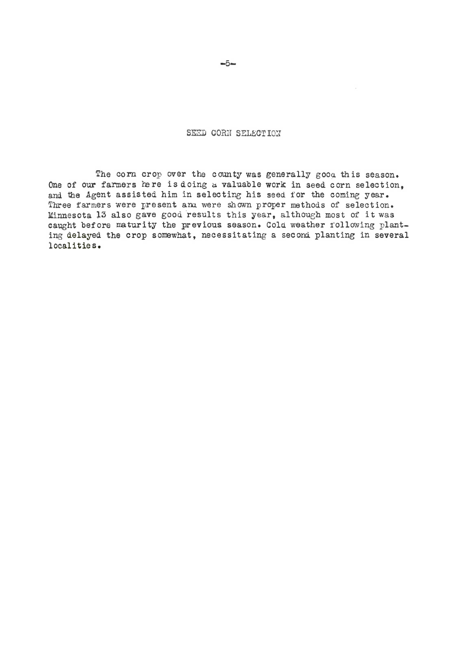SEED CORN SELECTION

The corn crop over the county was generally good this season. One of our farmers here is doing a valuable work in seed corn selection. and the Agent assisted him in selecting his seed for the coming year. Three farmers were present ana were shown proper methods of selection. Minnesota 13 also gave good results this year, although most of it was caught before maturity the previous season. Cold weather following planting delayed the crop somewhat, necessitating <sup>a</sup> seconi planting in several local itie s.

 $-5-$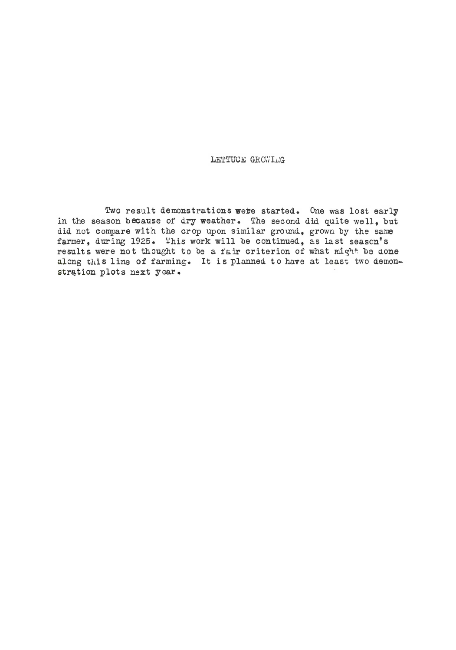# LETTUCE GROWING

Two result demonstrations wete started. One was lost early in the season because of dry weather. The second did quite well, but did not compare with the crop upon similar ground, grown by the same farmer, during 1925. This work will be continued, as last season's results were not thought to be a fair criterion of what might be done along this line of farming. It is planned to have at least two demonstration plots next year.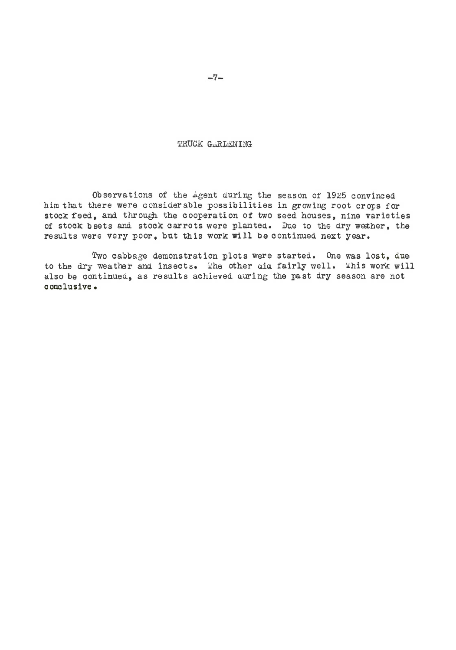TRUCK GARLENING

Observations of the *Agent during the season of 1925 convinced* him that there were considerable possibilities in growing root crops for stock feed, and through the cooperation of two seed houses, nine varieties of stock beets and stock carrots were planted. Due to the dry wether, the results were very poor, but this work will be continued next year.

Two cabbage demonstration plots were started. One was lost, due to the dry weather and insects. The other oid fairly well. This work will also be continued, as results achieved during the past dry season are not conclusive.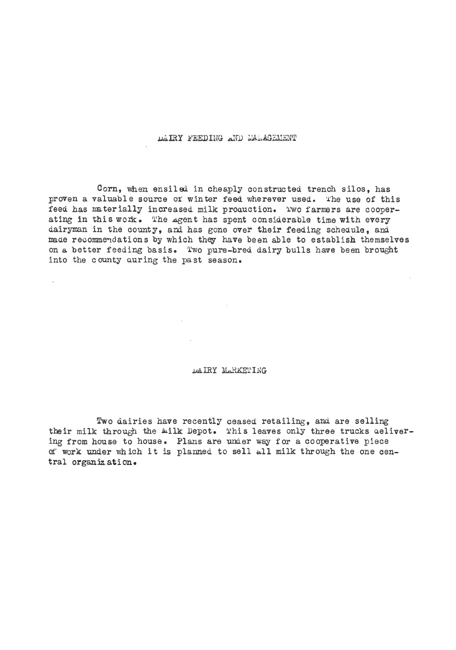DAIRY FEEDING AND MALAGEMENT

Corn, when ensiled in cheaply constructed trench silos, has proven a valuable source or winter feed wherever used. The use of this feed has materially increased milk proauction. Two farmers are cooperating in this work. The Agent has spent considerable time with every dairyman in the county, and has gone over their feeding schedule, and made recommendations by which they have been able to establish themselves on a better feeding basis. Two pure-bred dairy bulls have been brought into the county auring the past season.

## DAIRY MARKETING

Two dairies have recently ceased retailing, and are selling their milk through the wilk Depot. This leaves only three trucks aelivering from house to house. Plans are under way for a cooperative piece of work under which it is planned to sell all milk through the one central organization.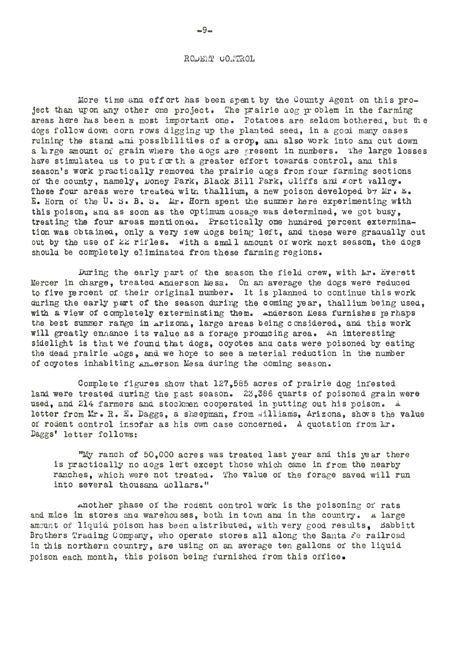#### RODERT CONTROL

More time and effort has been spent by the County Agent on this project than upon any other one project. The prairie aog problem in the farming areas here has been a most important one. Potatoes are seldom bothered, but the dogs follow down corn rows digging up the planted seed, in a good many cases ruining the stand and possibilities of a crop. and also work into and cut down a large amount of grain where the dogs are present in numbers. The large losses have stimulated us to put for th a greater effort towards control, and this season's work practically removed the prairie aogs from four farming sections of the county, namely, Doney Park, Black Bill Park, Cliffs and fort valley. These four areas were treated with thallium, a new poison developed by Mr. E. E. Horn of the U. S. B. S. Mr. Horn spent the summer here experimenting with this poison, and as soon as the optimum aosage was determined, we got busy, treating the four areas mentioned. Practically one hundred percent extermination was obtained, only a very few dogs being left, and these were gradually cut out by the use of 22 rifles. with a small amount of work next season, the dogs should be completely eliminated from these farming regions.

During the early part of the season the field crew, with Ar. Everett Mercer in charge, treated anderson Mesa. On an average the dogs were reduced to five percent of their original number. It is planned to continue this work during the early part of the season during the coming year, thallium being used. with a view of completely exterminating them. anderson Mesa furnishes perhaps the best summer range in arizona. large areas being considered. and this work will greatly ennance its value as a forage promicing area. An interesting sidelight is that we found that dogs, coyotes and cats were poisoned by eating the dead prairie uogs, and we hope to see a meterial reduction in the number of coyotes inhabiting Anderson Mesa during the coming season.

Complete figures show that 127,585 acres of prairie dog infested land were treated during the past season. 23,386 quarts of poisoned grain were used, and 214 farmers and stockmen cooperated in putting out his poison. A letter from Mr. R. E. Daggs, a sheepman, from *illiams*, Arizona, shows the value of rodent control insofar as his own case concerned. A quotation from Mr. Daggs' letter follows:

"My ranch of 50,000 acres was treated last year and this year there is practically no dogs left except those which came in from the nearby ranches, which were not treated. The value of the forage saved will run into several thousand dollars."

another phase of the rodent control work is the poisoning or rats and mice in stores and warehouses, both in town and in the country. A large amount of liquid poison has been aistributed, with very good results, Babbitt Brothers Trading Company, who operate stores all along the Santa Fe railroad in this northern country, are using on an average ten gallons of the liquid poison each month, this poison being furnished from this office.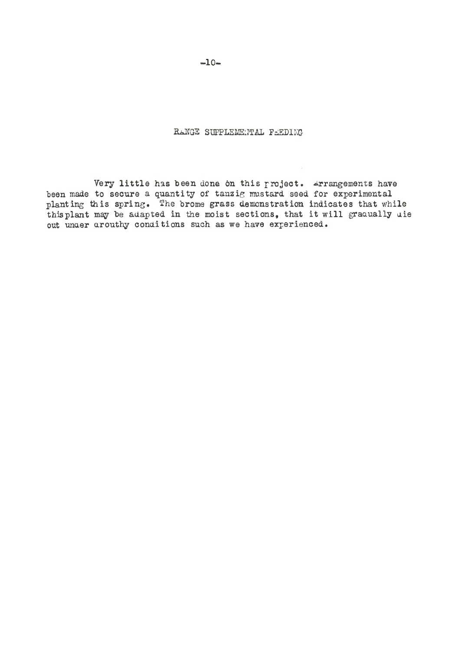RANGE SUPPLEMENTAL FEEDING

Very little has been done on this project. Arrangements have been made to secure a quantity of tanzig mustard seed for experimental planting this spring. The brome grass demonstration indicates that while this plant may be adapted in the moist sections, that it will gradually uie out under arouthy conditions such as we have experienced.

 $-10-$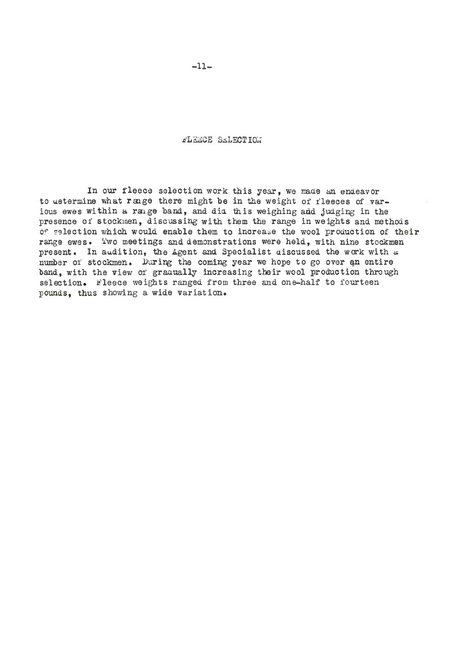FLEECE SELECTION

In our fleece selection work this year, we made an endeavor to ustermine what range there might be in the weight of fleeces of various ewes within a range band, and did this weighing and judging in the presence of stockmen, discussing with them the range in weights and methods Of selection which would enable them to increase the wool production of their range ewes. Two meetings and demonstrations were held, with nine stockmen present. In audition, the Agent and Specialist discussed the work with a number of stockmen. During the coming year we hope to go over an entire band, with the view of graaually increasing their wool production through selection. Fleece weights ranged from three and one-half to fourteen pounds. thus showing a wide variation.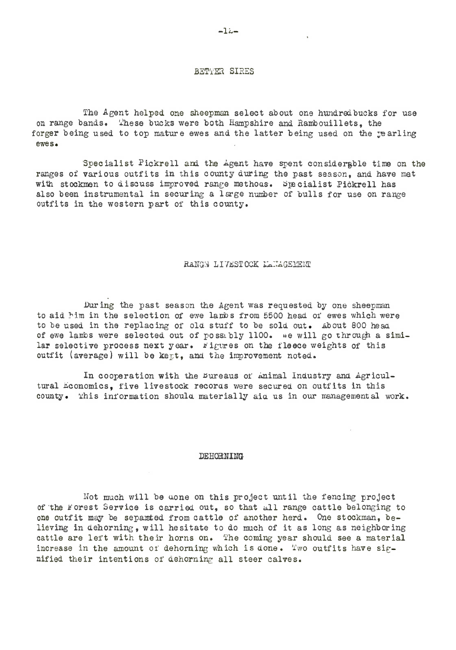### BETTER SIRES

The Agent helped one sheepman select about one nundred buoks for use on range bands. These bucks were both Hampshire and Rambouillets, the forger being used to top mature ewes and the latter being used on the rearling ewes.

Specialist Pickrell and the *Agent* have spent considerable time on the ranges of various outfits in this county during the past season, and have met with stockmen to discuss improved range methous. Specialist Pickrell has also been instrumental in securing a large number of bulls for use on range outfits in the western part of this county.

#### RANGS LIVESTOCK LANAGEMENT

During the past season the Agent was requested by one sheepman to aid him in the selection of ewe lambs from 5500 head of ewes which were to be used in the replacing of old stuff to be sold out. About 800 head of ewe lambs were selected out of possibly 1100. we will go through a similar selective process next year. Figures on the fleece weights of this outfit (average) will be kept, and the improvement noted.

In cooperation with the Bureaus of Animal Industry and Agricultural Economics, five livestock records were secured on outfits in this county. This information should materially aid us in our managemental work.

#### DEHORNING

Hot much will be uone on this project unt <sup>11</sup> the fencing project of the Forest Service is carried out, so that all range cattle belonging to one outfit may be separated from cattle of another herd. One stockman, believing in dehorning, will hesitate to do much of it as long as neighboring cattle are left with their horns on. The coming year should see a material increase in the amount of dehorning which is done. Two outfits have signified their intentions of dehorning all steer calves.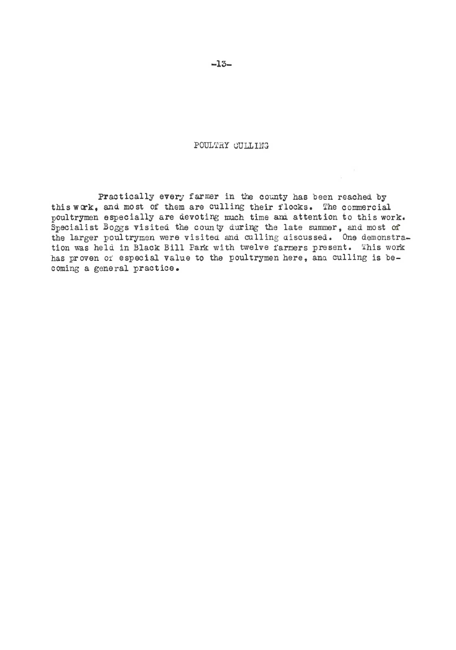POULTRY CULLING

Practically every farmer in the county has been reached by this work, and most of them are culling their flocks. The commercial poultrymen especially are devoting much time and attention to this work. Specialist Boggs visited the county during the late summer, and most of the larger poultrymen were visited and culling aiscussed. One demonstration was held in Black Bill Park with twelve farmers present. This work has proven or especial value to the poultrymen here, and culling is becoming <sup>a</sup> general practice.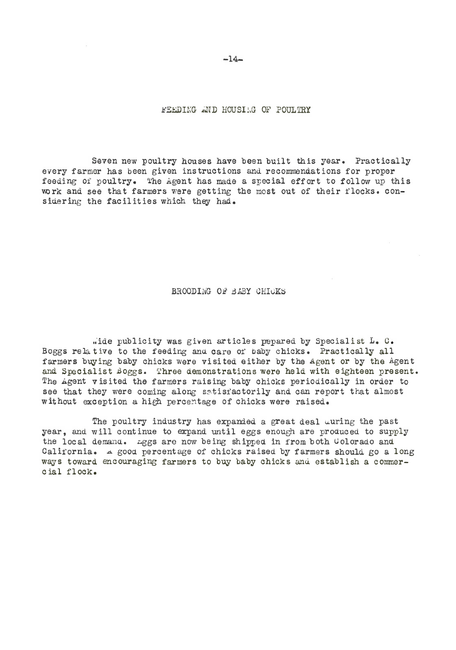FEEDING AND HOUSILG OF POULTRY

Seven new poultry houses have been built this year. Practically every farmer has been given instructions and recommendations for proper feeding of poultry. The Agent has made a special effort to follow up this work and see that farmers were getting the most out of their flocks. considering the facilities which they had.

BROODING OF BABY CHICKS

,,'ide publicity was given articles papared by Specialist L. C. Boggs rela tive to the feeding and. care of baby chicks. Practically all farmers buying baby chicks were visited either by the Agent or by the Agent and Specialist Boggs. Three demonstrations were held with eighteen present. The Agent visited the farmers raising baby chicks periodically in order to see that they were coming along satisfactorily and can report that almost without exception a high percentage of chicks were raised.

The poultry industry has expanded a great deal uuring the past year, and will continue to expand until eggs enough are produced to supply the local demand. *Legs* are now being shipped in from both Uolorado and California. A good percentage of chicks raised by farmers should go a long ways toward encouraging farmers to buy baby chicks and establish a commer<sup>c</sup> ial flock.

 $-14-$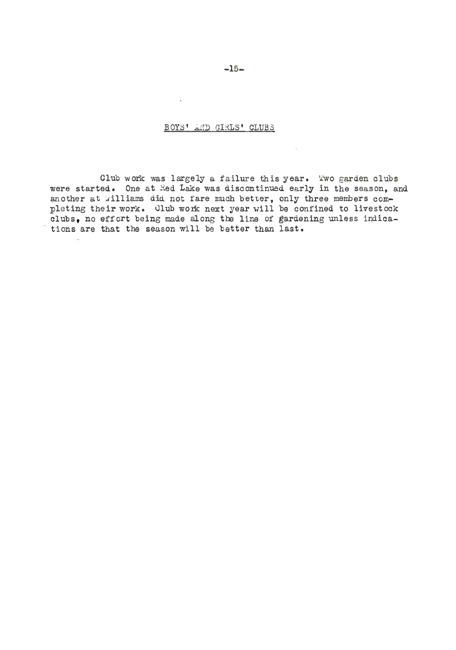## BOYS' AMD GIRLS' CLUBS

 $\sim$ 

Club work was largely a failure this year. Two garden clubs were started. One at Hed Lake was discontinued early in the season, and another at williams did not fare much better, only three members completing their work. Club work next year will be confined to livestock clubs, no effort being made along the line of gardening unless indications are that the season will be better than last.

 $-15-$ 

 $\mathcal{L}^{\mathcal{L}}(\mathcal{L}^{\mathcal{L}})$  .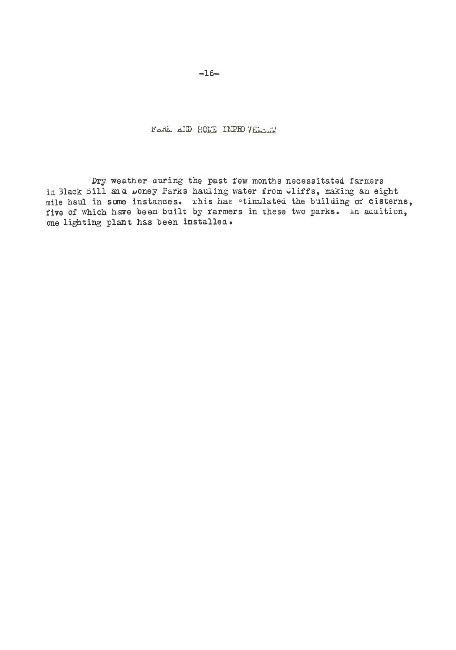FARE AID HOME IMPROVERENT

Dry weather auring the past few months necessitated farmers in Black Bill and Doney Parks hauling water from Cliffs, making an eight mile haul in some instances. This has stimulated the building of cisterns, five of which have been built by farmers in these two parks. In auaition, one lighting plant has been installed.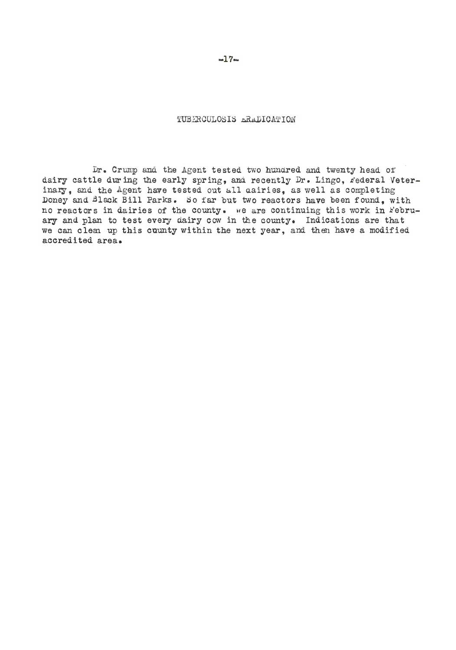TUBERCULOSIS ERADICATION

Dr. Crump and the Agent tested two hundred and twenty head of dairy cattle during the early spring, and recently Dr. Lingo, rederal Veterinary, and the Agent have tested out all cairies, as well as completing Doney and Black Bill Parks. So far but two reactors have been found, with no reactors in dairies of the county. we are continuing this work in February and plan to test every dairy cow in the county. Indications are that we can clear up this county within the next year, and then have a modified accredited area.

 $-17-$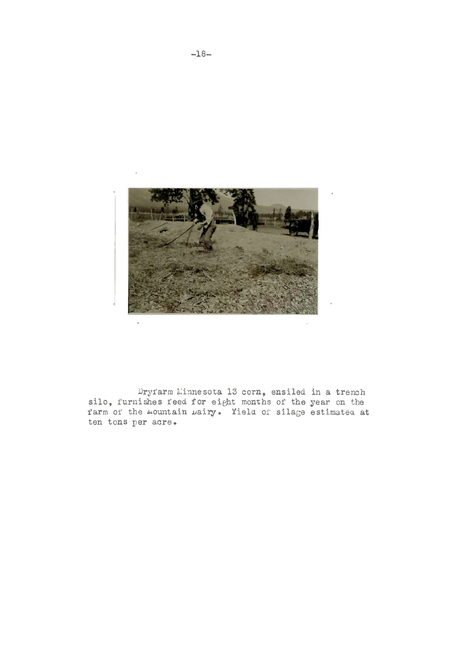

Dryfarm Minnesota 13 corn, ensiled in a trench<br>silo, furnishes feed for eight months of the year on the<br>farm of the mountain  $\mu$ airy. Yield of silage estimated at ten tons per acre.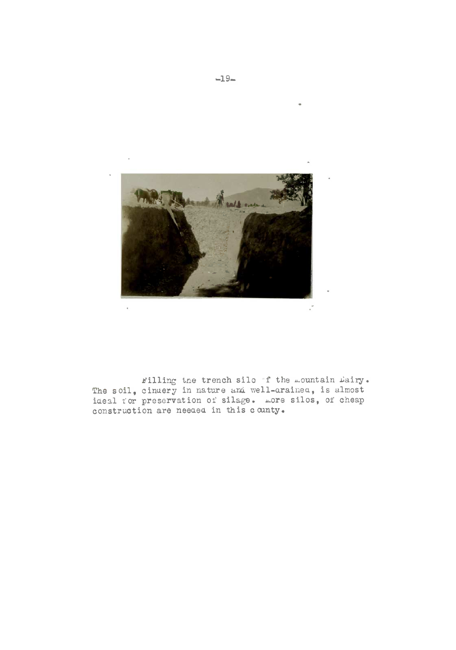

Filling the trench silo f the mountain Dairy. The soil, cinuery in nature and well-arained, is almost ideal for preservation of silage. more silos, of cheap construction are needed in this county.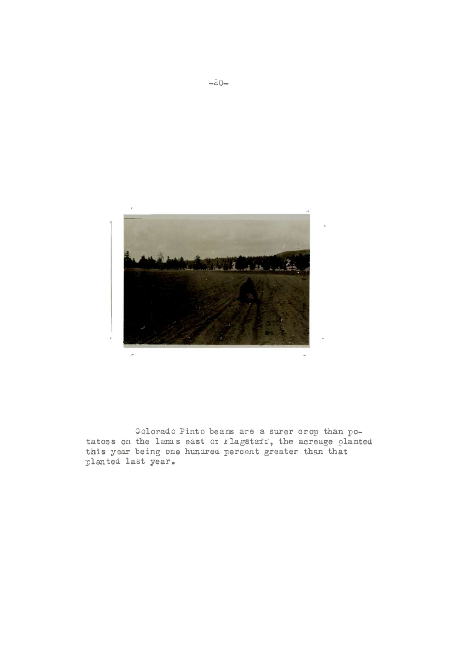

Colorado Pinto beans are a surer crop than potatoes on the lanas east of rlagstaff, the acreage planted this year being one hundred percent greater than that planted last year.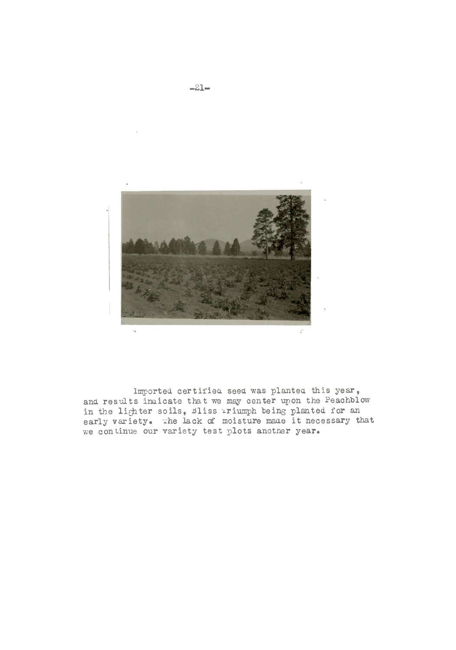

Imported certified seed was planted this year, and results indicate that we may center upon the Peachblow in the lighter soils, Bliss iriumph being planted for an early variety. The lack of moisture made it necessary that we continue our variety test plots another year.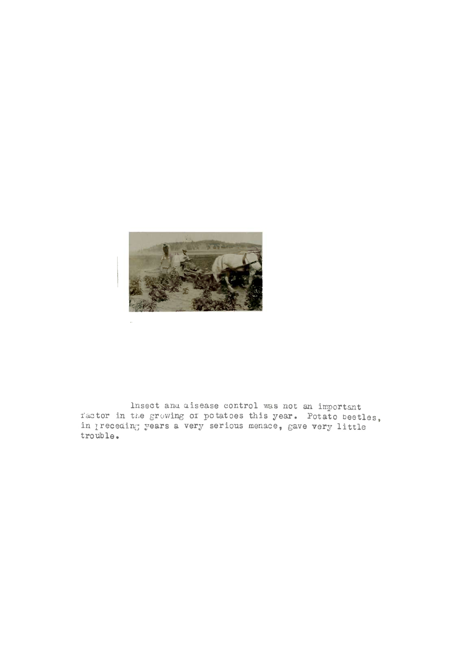

Insect and disease control was not an important ractor in the growing of potatoes this year. Potato beetles, in preceding years a very serious menace, gave very little trouble.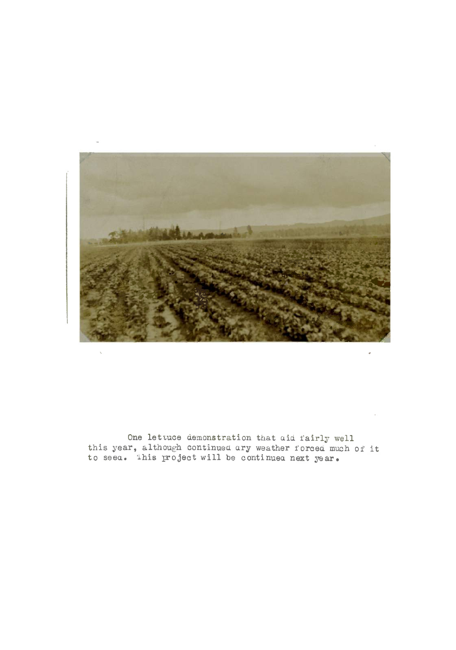

One lettuce demonstration that aid fairly well<br>this year, although continued ary weather forced much of it<br>to seed. This project will be continued next year.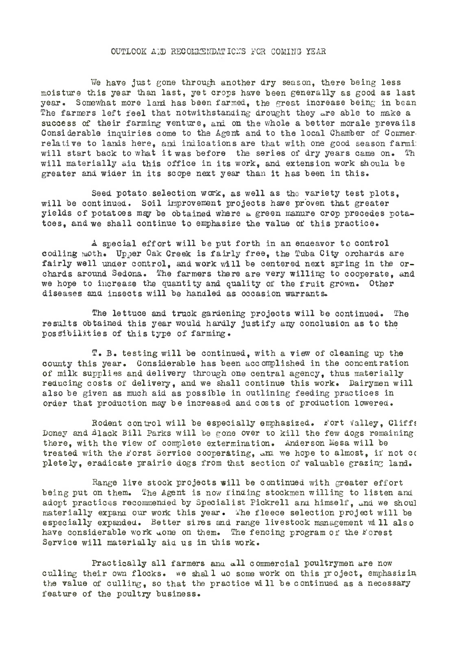### OUTLOOK AND RECOMMENDATIONS FOR COMING YEAR

We have just gone through another dry season, there being less moisture this year than last, yet crops have baen generally as good as last year. Somewhat more land has been farmed, the great increase being in bean The farmers left feel that notwithstanding drought they are able to make a success of their farming venture, ani on the whole <sup>a</sup> better morale prevails Considerable inquiries come to the Agent and to the local Chamber of Commer. relative to lands here, and indications are that with one good season farmi: will start back to what it was before the series of dry years came on. Th will materially aid this office in its work, and extension work should be greater and wider in its scope next year than it has been in this.

Seed potato selection work, as well as the variety test plots, will be continued. Soil improvement projects have proven that greater yields of potatoes may be obtained where  $\omega$  green manure crop precedes potatoes, and we shall continue to emphasize the value of this practice.

A special effort will be put forth in an endeavor to control codling moth. Upper Oak Creek is fairly free, the Tuba City orchards are fairly well under control, and work will be centered next spring in the orchards around Sedona. The farmers there are very willing to cooperate, and we hope to increase the quantity and quality of the fruit grown. Other diseases and insects will be handled as occasion warrants.

The lettuce and truck gardening projects will be continued. The results obtained this year would hardly justify any conclusion as to the possibilities of this type of farming.

T. B. testing will be continued, with <sup>a</sup> view of cleaning up the county this year. Considerable has been ace omplished in the concentration of milk supplies and delivery through one central agency, thus materially reducing costs of delivery, and we shall continue this work. Dairymen will also be given as much aid as possible in outlining feeding practices in order that production may be increased and cos ts of production Lowered ,

Rodent control will be especially emphasized. Fort Valley, Cliffs Doney and �lack Bill Parks will be gone over to kill the few dogs remaining there, with the view Of complete extermination. Anderson Mesa will be treated with the Forst Service cooperating, am we hope to almost, if not co pletely, eradicate prairie dogs from that section of valuable grazing land.

Range live stock projects will be continued with greater effort being put on them. The Agent is now finding stockmen willing to listen and adopt practices recommended by Specialist Pickrell and himself. and we shoul materially expand our work this year. The fleece selection project will be especially expanded. Better sires and range livestock management will also have considerable work done on them. The fencing program of the Forest Service will materially aid us in this work.

Practically all farmers and all commercial poultrymen are now culling their own flocks. we shall uo some work on this project, emphasizin the value of culling, so that the practice wi <sup>11</sup> be continued as <sup>a</sup> necessary feature of the poultry business.